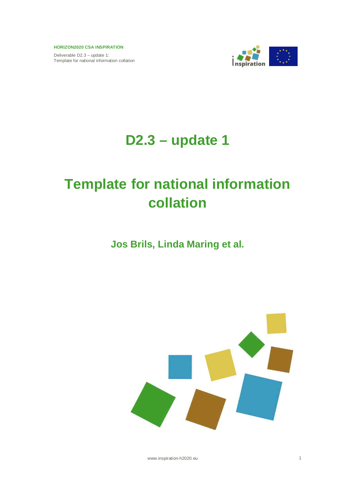Deliverable D2.3 – update 1: Template for national information collation



# **D2.3 – update 1**

# **Template for national information collation**

# **Jos Brils, Linda Maring et al.**



www.inspiration-h2020.eu 1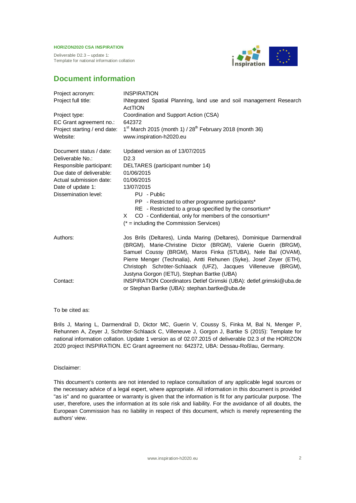Deliverable D2.3 – update 1: Template for national information collation



# **Document information**

| Project acronym:<br>Project full title:      | <b>INSPIRATION</b><br>INtegrated Spatial Planning, land use and soil management Research<br>ActTION                                                                                                                                                                                                                                                                                         |
|----------------------------------------------|---------------------------------------------------------------------------------------------------------------------------------------------------------------------------------------------------------------------------------------------------------------------------------------------------------------------------------------------------------------------------------------------|
| Project type:<br>EC Grant agreement no.:     | Coordination and Support Action (CSA)<br>642372                                                                                                                                                                                                                                                                                                                                             |
| Project starting / end date:<br>Website:     | $1^{st}$ March 2015 (month 1) / $28^{th}$ February 2018 (month 36)<br>www.inspiration-h2020.eu                                                                                                                                                                                                                                                                                              |
| Document status / date:                      | Updated version as of 13/07/2015                                                                                                                                                                                                                                                                                                                                                            |
| Deliverable No.:<br>Responsible participant: | D <sub>2.3</sub><br>DELTARES (participant number 14)                                                                                                                                                                                                                                                                                                                                        |
| Due date of deliverable:                     | 01/06/2015                                                                                                                                                                                                                                                                                                                                                                                  |
| Actual submission date:                      | 01/06/2015                                                                                                                                                                                                                                                                                                                                                                                  |
| Date of update 1:                            | 13/07/2015                                                                                                                                                                                                                                                                                                                                                                                  |
| Dissemination level:                         | PU - Public<br>PP - Restricted to other programme participants*<br>RE - Restricted to a group specified by the consortium*<br>CO - Confidential, only for members of the consortium*<br>X.<br>$(* = including the Commission Services)$                                                                                                                                                     |
| Authors:                                     | Jos Brils (Deltares), Linda Maring (Deltares), Dominique Darmendrail<br>(BRGM), Marie-Christine Dictor (BRGM), Valerie Guerin (BRGM),<br>Samuel Coussy (BRGM), Maros Finka (STUBA), Nele Bal (OVAM),<br>Pierre Menger (Technalia), Antti Rehunen (Syke), Josef Zeyer (ETH),<br>Christoph Schröter-Schlaack (UFZ), Jacques Villeneuve (BRGM),<br>Justyna Gorgon (IETU), Stephan Bartke (UBA) |
| Contact:                                     | INSPIRATION Coordinators Detlef Grimski (UBA): detlef.grimski@uba.de<br>or Stephan Bartke (UBA): stephan.bartke@uba.de                                                                                                                                                                                                                                                                      |

### To be cited as:

Brils J, Maring L, Darmendrail D, Dictor MC, Guerin V, Coussy S, Finka M, Bal N, Menger P, Rehunnen A, Zeyer J, Schröter-Schlaack C, Villeneuve J, Gorgon J, Bartke S (2015): Template for national information collation. Update 1 version as of 02.07.2015 of deliverable D2.3 of the HORIZON 2020 project INSPIRATION. EC Grant agreement no: 642372, UBA: Dessau-Roßlau, Germany.

#### Disclaimer:

This document's contents are not intended to replace consultation of any applicable legal sources or the necessary advice of a legal expert, where appropriate. All information in this document is provided "as is" and no guarantee or warranty is given that the information is fit for any particular purpose. The user, therefore, uses the information at its sole risk and liability. For the avoidance of all doubts, the European Commission has no liability in respect of this document, which is merely representing the authors' view.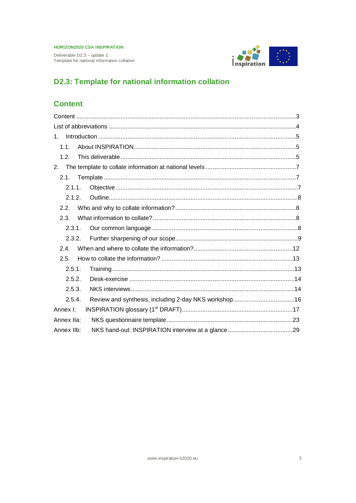Deliverable D2.3 - update 1: Template for national information collation



# **D2.3: Template for national information collation**

# **Content**

| 1.         |  |
|------------|--|
| 1.1.       |  |
| 1.2.       |  |
| 2.         |  |
| 2.1.       |  |
| 2.1.1.     |  |
| 2.1.2.     |  |
| 2.2.       |  |
| 2.3.       |  |
| 2.3.1.     |  |
| 2.3.2.     |  |
| 24         |  |
| 2.5.       |  |
| 2.5.1.     |  |
| 2.5.2.     |  |
| 2.5.3.     |  |
| 2.5.4.     |  |
| Annex I:   |  |
| Annex IIa: |  |
| Annex IIb: |  |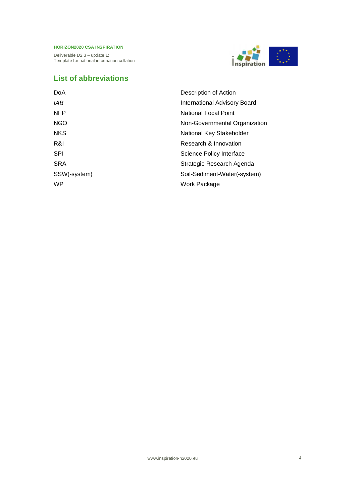Deliverable D2.3 – update 1: Template for national information collation



# **List of abbreviations**

| <b>DoA</b>   | Description of Action         |  |
|--------------|-------------------------------|--|
| IAB          | International Advisory Board  |  |
| <b>NFP</b>   | <b>National Focal Point</b>   |  |
| <b>NGO</b>   | Non-Governmental Organization |  |
| <b>NKS</b>   | National Key Stakeholder      |  |
| R&I          | Research & Innovation         |  |
| <b>SPI</b>   | Science Policy Interface      |  |
| <b>SRA</b>   | Strategic Research Agenda     |  |
| SSW(-system) | Soil-Sediment-Water(-system)  |  |
| <b>WP</b>    | Work Package                  |  |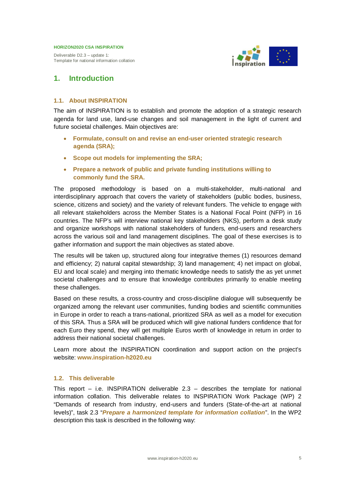Deliverable D2.3 – update 1: Template for national information collation



# **1. Introduction**

# **1.1. About INSPIRATION**

The aim of INSPIRATION is to establish and promote the adoption of a strategic research agenda for land use, land-use changes and soil management in the light of current and future societal challenges. Main objectives are:

- x **Formulate, consult on and revise an end-user oriented strategic research agenda (SRA);**
- x **Scope out models for implementing the SRA;**
- x **Prepare a network of public and private funding institutions willing to commonly fund the SRA.**

The proposed methodology is based on a multi-stakeholder, multi-national and interdisciplinary approach that covers the variety of stakeholders (public bodies, business, science, citizens and society) and the variety of relevant funders. The vehicle to engage with all relevant stakeholders across the Member States is a National Focal Point (NFP) in 16 countries. The NFP's will interview national key stakeholders (NKS), perform a desk study and organize workshops with national stakeholders of funders, end-users and researchers across the various soil and land management disciplines. The goal of these exercises is to gather information and support the main objectives as stated above.

The results will be taken up, structured along four integrative themes (1) resources demand and efficiency; 2) natural capital stewardship; 3) land management; 4) net impact on global, EU and local scale) and merging into thematic knowledge needs to satisfy the as yet unmet societal challenges and to ensure that knowledge contributes primarily to enable meeting these challenges.

Based on these results, a cross-country and cross-discipline dialogue will subsequently be organized among the relevant user communities, funding bodies and scientific communities in Europe in order to reach a trans-national, prioritized SRA as well as a model for execution of this SRA. Thus a SRA will be produced which will give national funders confidence that for each Euro they spend, they will get multiple Euros worth of knowledge in return in order to address their national societal challenges.

Learn more about the INSPIRATION coordination and support action on the project's website: **www.inspiration-h2020.eu**

# **1.2. This deliverable**

This report  $-$  i.e. INSPIRATION deliverable 2.3  $-$  describes the template for national information collation. This deliverable relates to INSPIRATION Work Package (WP) 2 "Demands of research from industry, end-users and funders (State-of-the-art at national levels)", task 2.3 "*Prepare a harmonized template for information collation*". In the WP2 description this task is described in the following way: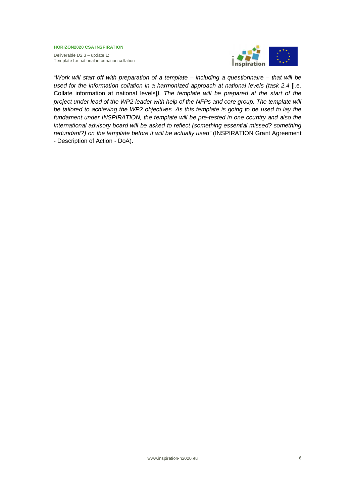Deliverable D2.3 – update 1: Template for national information collation



"*Work will start off with preparation of a template – including a questionnaire – that will be used for the information collation in a harmonized approach at national levels (task 2.4* [i.e. Collate information at national levels]*). The template will be prepared at the start of the project under lead of the WP2-leader with help of the NFPs and core group. The template will be tailored to achieving the WP2 objectives. As this template is going to be used to lay the fundament under INSPIRATION, the template will be pre-tested in one country and also the international advisory board will be asked to reflect (something essential missed? something redundant?) on the template before it will be actually used"* (INSPIRATION Grant Agreement - Description of Action - DoA).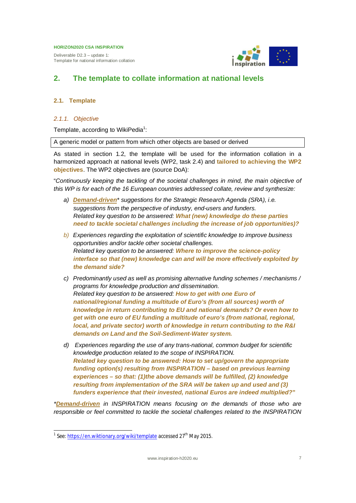Deliverable D2.3 – update 1: Template for national information collation



# **2. The template to collate information at national levels**

# **2.1. Template**

# *2.1.1. Objective*

Template, according to WikiPedia<sup>1</sup>:

A generic model or pattern from which other objects are based or derived

As stated in section 1.2, the template will be used for the information collation in a harmonized approach at national levels (WP2, task 2.4) and **tailored to achieving the WP2 objectives**. The WP2 objectives are (source DoA):

"*Continuously keeping the tackling of the societal challenges in mind, the main objective of this WP is for each of the 16 European countries addressed collate, review and synthesize:*

- *a) Demand-driven\* suggestions for the Strategic Research Agenda (SRA), i.e. suggestions from the perspective of industry, end-users and funders. Related key question to be answered: What (new) knowledge do these parties need to tackle societal challenges including the increase of job opportunities)?*
- *b) Experiences regarding the exploitation of scientific knowledge to improve business opportunities and/or tackle other societal challenges. Related key question to be answered: Where to improve the science-policy interface so that (new) knowledge can and will be more effectively exploited by the demand side?*
- *c) Predominantly used as well as promising alternative funding schemes / mechanisms / programs for knowledge production and dissemination. Related key question to be answered: How to get with one Euro of national/regional funding a multitude of Euro's (from all sources) worth of knowledge in return contributing to EU and national demands? Or even how to get with one euro of EU funding a multitude of euro's (from national, regional, local, and private sector) worth of knowledge in return contributing to the R&I demands on Land and the Soil-Sediment-Water system.*
- *d) Experiences regarding the use of any trans-national, common budget for scientific knowledge production related to the scope of INSPIRATION. Related key question to be answered: How to set up/govern the appropriate funding option(s) resulting from INSPIRATION – based on previous learning experiences – so that: (1)the above demands will be fulfilled, (2) knowledge resulting from implementation of the SRA will be taken up and used and (3) funders experience that their invested, national Euros are indeed multiplied?***"**

*\*Demand-driven in INSPIRATION means focusing on the demands of those who are responsible or feel committed to tackle the societal challenges related to the INSPIRATION*

<sup>&</sup>lt;sup>1</sup> See: <u>https://en.wiktionary.org/wiki/template</u> accessed 27<sup>th</sup> May 2015.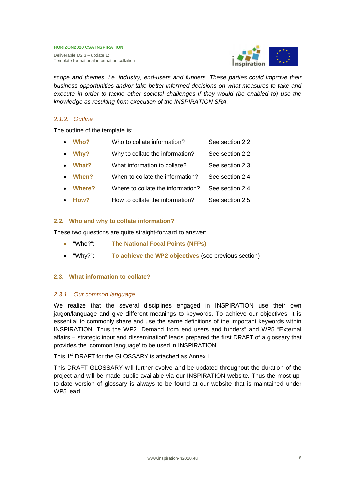Deliverable D2.3 – update 1: Template for national information collation



*scope and themes, i.e. industry, end-users and funders. These parties could improve their business opportunities and/or take better informed decisions on what measures to take and execute in order to tackle other societal challenges if they would (be enabled to) use the knowledge as resulting from execution of the INSPIRATION SRA.*

# *2.1.2. Outline*

The outline of the template is:

|           | Who?          | Who to collate information?       | See section 2.2 |
|-----------|---------------|-----------------------------------|-----------------|
| $\bullet$ | Why?          | Why to collate the information?   | See section 2.2 |
| $\bullet$ | What?         | What information to collate?      | See section 2.3 |
| $\bullet$ | When?         | When to collate the information?  | See section 2.4 |
|           | <b>Where?</b> | Where to collate the information? | See section 2.4 |
|           | How?          | How to collate the information?   | See section 2.5 |

# **2.2. Who and why to collate information?**

These two questions are quite straight-forward to answer:

- x "Who?": **The National Focal Points (NFPs)**
- x "Why?": **To achieve the WP2 objectives** (see previous section)

# **2.3. What information to collate?**

# *2.3.1. Our common language*

We realize that the several disciplines engaged in INSPIRATION use their own jargon/language and give different meanings to keywords. To achieve our objectives, it is essential to commonly share and use the same definitions of the important keywords within INSPIRATION. Thus the WP2 "Demand from end users and funders" and WP5 "External affairs – strategic input and dissemination" leads prepared the first DRAFT of a glossary that provides the 'common language' to be used in INSPIRATION.

This 1<sup>st</sup> DRAFT for the GLOSSARY is attached as Annex I.

This DRAFT GLOSSARY will further evolve and be updated throughout the duration of the project and will be made public available via our INSPIRATION website. Thus the most upto-date version of glossary is always to be found at our website that is maintained under WP5 lead.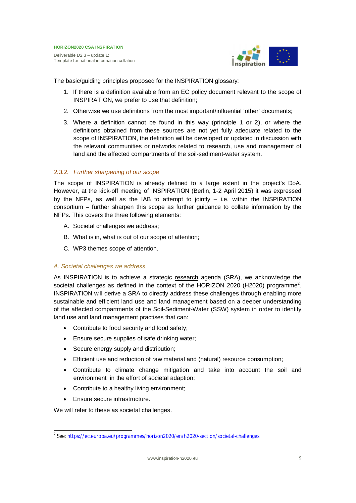Deliverable D2.3 – update 1: Template for national information collation



The basic/guiding principles proposed for the INSPIRATION glossary:

- 1. If there is a definition available from an EC policy document relevant to the scope of INSPIRATION, we prefer to use that definition;
- 2. Otherwise we use definitions from the most important/influential 'other' documents;
- 3. Where a definition cannot be found in this way (principle 1 or 2), or where the definitions obtained from these sources are not yet fully adequate related to the scope of INSPIRATION, the definition will be developed or updated in discussion with the relevant communities or networks related to research, use and management of land and the affected compartments of the soil-sediment-water system.

# *2.3.2. Further sharpening of our scope*

The scope of INSPIRATION is already defined to a large extent in the project's DoA. However, at the kick-off meeting of INSPIRATION (Berlin, 1-2 April 2015) it was expressed by the NFPs, as well as the IAB to attempt to jointly  $-$  i.e. within the INSPIRATION consortium – further sharpen this scope as further guidance to collate information by the NFPs. This covers the three following elements:

- A. Societal challenges we address;
- B. What is in, what is out of our scope of attention;
- C. WP3 themes scope of attention.

# *A. Societal challenges we address*

As INSPIRATION is to achieve a strategic research agenda (SRA), we acknowledge the societal challenges as defined in the context of the HORIZON 2020 (H2020) programme<sup>2</sup>. INSPIRATION will derive a SRA to directly address these challenges through enabling more sustainable and efficient land use and land management based on a deeper understanding of the affected compartments of the Soil-Sediment-Water (SSW) system in order to identify land use and land management practises that can:

- Contribute to food security and food safety;
- **Ensure secure supplies of safe drinking water;**
- Secure energy supply and distribution;
- Efficient use and reduction of raw material and (natural) resource consumption;
- Contribute to climate change mitigation and take into account the soil and environment in the effort of societal adaption;
- Contribute to a healthy living environment;
- Ensure secure infrastructure.

We will refer to these as societal challenges.

<sup>&</sup>lt;sup>2</sup> See: https://ec.europa.eu/programmes/horizon2020/en/h2020-section/societal-challenges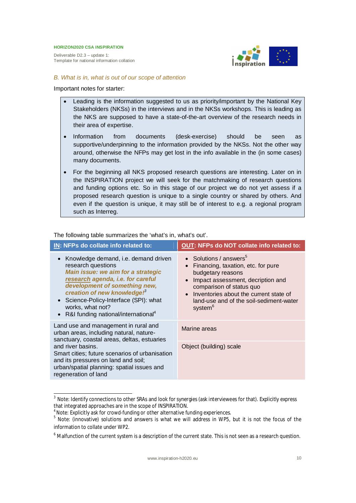Deliverable D2.3 – update 1: Template for national information collation



*B. What is in, what is out of our scope of attention*

Important notes for starter:

- Leading is the information suggested to us as priority/important by the National Key Stakeholders (NKSs) in the interviews and in the NKSs workshops. This is leading as the NKS are supposed to have a state-of-the-art overview of the research needs in their area of expertise.
- Information from documents (desk-exercise) should be seen as supportive/underpinning to the information provided by the NKSs. Not the other way around, otherwise the NFPs may get lost in the info available in the (in some cases) many documents.
- For the beginning all NKS proposed research questions are interesting. Later on in the INSPIRATION project we will seek for the matchmaking of research questions and funding options etc. So in this stage of our project we do not yet assess if a proposed research question is unique to a single country or shared by others. And even if the question is unique, it may still be of interest to e.g. a regional program such as Interreg.

| IN: NFPs do collate info related to:                                                                                                                                                                                                                                                                                                   | <b>OUT: NFPs do NOT collate info related to:</b>                                                                                                                                                                                                                           |
|----------------------------------------------------------------------------------------------------------------------------------------------------------------------------------------------------------------------------------------------------------------------------------------------------------------------------------------|----------------------------------------------------------------------------------------------------------------------------------------------------------------------------------------------------------------------------------------------------------------------------|
| • Knowledge demand, i.e. demand driven<br>research questions<br>Main issue: we aim for a strategic<br>research agenda, i.e. for careful<br>development of something new,<br>creation of new knowledge! <sup>3</sup><br>• Science-Policy-Interface (SPI): what<br>works, what not?<br>• R&I funding national/international <sup>4</sup> | • Solutions / answers <sup>5</sup><br>Financing, taxation, etc. for pure<br>budgetary reasons<br>Impact assessment, decription and<br>comparison of status quo<br>Inventories about the current state of<br>land-use and of the soil-sediment-water<br>system <sup>6</sup> |
| Land use and management in rural and<br>urban areas, including natural, nature-<br>sanctuary, coastal areas, deltas, estuaries                                                                                                                                                                                                         | Marine areas                                                                                                                                                                                                                                                               |
| and river basins.<br>Smart cities; future scenarios of urbanisation<br>and its pressures on land and soil;<br>urban/spatial planning: spatial issues and<br>regeneration of land                                                                                                                                                       | Object (building) scale                                                                                                                                                                                                                                                    |

The following table summarizes the 'what's in, what's out'.

 $^3$  Note: Identify connections to other SRAs and look for synergies (ask interviewees for that). Explicitly express that integrated approaches are in the scope of INSPIRATION.<br><sup>4</sup> Note: Explicitly ask for crowd funding ar other alternative fi

Note: Explicitly ask for crowd-funding or other alternative funding experiences.

<sup>&</sup>lt;sup>5</sup> Note: (innovative) solutions and answers is what we will address in WP5, but it is not the focus of the information to collate under WP2.

 $^6$  Malfunction of the current system is a description of the current state. This is not seen as a research question.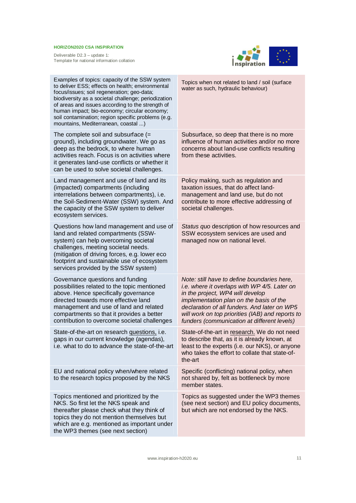

| Examples of topics: capacity of the SSW system<br>to deliver ESS; effects on health; environmental<br>focus/issues; soil regeneration; geo-data;<br>biodiversity as a societal challenge; periodization<br>of areas and issues according to the strength of<br>human impact; bio-economy; circular economy;<br>soil contamination; region specific problems (e.g.<br>mountains, Mediterranean, coastal ) | Topics when not related to land / soil (surface<br>water as such, hydraulic behaviour)                                                                                                                                                                                                                                        |
|----------------------------------------------------------------------------------------------------------------------------------------------------------------------------------------------------------------------------------------------------------------------------------------------------------------------------------------------------------------------------------------------------------|-------------------------------------------------------------------------------------------------------------------------------------------------------------------------------------------------------------------------------------------------------------------------------------------------------------------------------|
| The complete soil and subsurface $(=$<br>ground), including groundwater. We go as<br>deep as the bedrock, to where human<br>activities reach. Focus is on activities where<br>it generates land-use conflicts or whether it<br>can be used to solve societal challenges.                                                                                                                                 | Subsurface, so deep that there is no more<br>influence of human activities and/or no more<br>concerns about land-use conflicts resulting<br>from these activities.                                                                                                                                                            |
| Land management and use of land and its<br>(impacted) compartments (including<br>interrelations between compartments), i.e.<br>the Soil-Sediment-Water (SSW) system. And<br>the capacity of the SSW system to deliver<br>ecosystem services.                                                                                                                                                             | Policy making, such as regulation and<br>taxation issues, that do affect land-<br>management and land use, but do not<br>contribute to more effective addressing of<br>societal challenges.                                                                                                                                   |
| Questions how land management and use of<br>land and related compartments (SSW-<br>system) can help overcoming societal<br>challenges, meeting societal needs.<br>(mitigation of driving forces, e.g. lower eco<br>footprint and sustainable use of ecosystem<br>services provided by the SSW system)                                                                                                    | Status quo description of how resources and<br>SSW ecosystem services are used and<br>managed now on national level.                                                                                                                                                                                                          |
| Governance questions and funding<br>possibilities related to the topic mentioned<br>above. Hence specifically governance<br>directed towards more effective land<br>management and use of land and related<br>compartments so that it provides a better<br>contribution to overcome societal challenges                                                                                                  | Note: still have to define boundaries here,<br>i.e. where it overlaps with WP 4/5. Later on<br>in the project, WP4 will develop<br>implementation plan on the basis of the<br>declaration of all funders. And later on WP5<br>will work on top priorities (IAB) and reports to<br>funders (communication at different levels) |
| State-of-the-art on research questions, i.e.<br>gaps in our current knowledge (agendas),<br>i.e. what to do to advance the state-of-the-art                                                                                                                                                                                                                                                              | State-of-the-art in research. We do not need<br>to describe that, as it is already known, at<br>least to the experts (i.e. our NKS), or anyone<br>who takes the effort to collate that state-of-<br>the-art                                                                                                                   |
| EU and national policy when/where related<br>to the research topics proposed by the NKS                                                                                                                                                                                                                                                                                                                  | Specific (conflicting) national policy, when<br>not shared by, felt as bottleneck by more<br>member states.                                                                                                                                                                                                                   |
| Topics mentioned and prioritized by the<br>NKS. So first let the NKS speak and<br>thereafter please check what they think of<br>topics they do not mention themselves but<br>which are e.g. mentioned as important under<br>the WP3 themes (see next section)                                                                                                                                            | Topics as suggested under the WP3 themes<br>(see next section) and EU policy documents,<br>but which are not endorsed by the NKS.                                                                                                                                                                                             |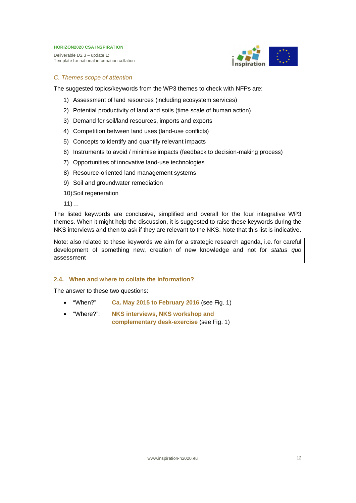Deliverable D2.3 – update 1: Template for national information collation



# *C. Themes scope of attention*

The suggested topics/keywords from the WP3 themes to check with NFPs are:

- 1) Assessment of land resources (including ecosystem services)
- 2) Potential productivity of land and soils (time scale of human action)
- 3) Demand for soil/land resources, imports and exports
- 4) Competition between land uses (land-use conflicts)
- 5) Concepts to identify and quantify relevant impacts
- 6) Instruments to avoid / minimise impacts (feedback to decision-making process)
- 7) Opportunities of innovative land-use technologies
- 8) Resource-oriented land management systems
- 9) Soil and groundwater remediation
- 10) Soil regeneration

 $11)$  ...

The listed keywords are conclusive, simplified and overall for the four integrative WP3 themes. When it might help the discussion, it is suggested to raise these keywords during the NKS interviews and then to ask if they are relevant to the NKS. Note that this list is indicative.

Note: also related to these keywords we aim for a strategic research agenda, i.e. for careful development of something new, creation of new knowledge and not for *status quo* assessment

# **2.4. When and where to collate the information?**

The answer to these two questions:

- x "When?" **Ca. May 2015 to February 2016** (see Fig. 1)
- x "Where?": **NKS interviews, NKS workshop and complementary desk-exercise** (see Fig. 1)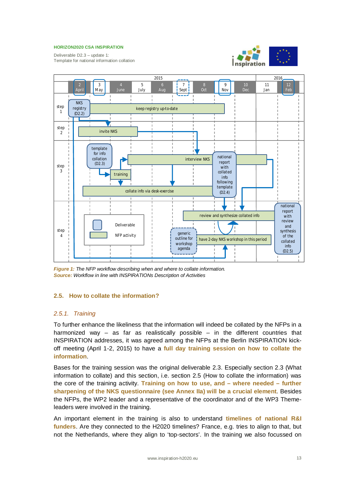Deliverable D2.3 – update 1: Template for national information collation





*Figure 1: The NFP workflow describing when and where to collate information. Source: Workflow in line with INSPIRATIONs Description of Activities*

# **2.5. How to collate the information?**

# *2.5.1. Training*

To further enhance the likeliness that the information will indeed be collated by the NFPs in a harmonized way – as far as realistically possible – in the different countries that INSPIRATION addresses, it was agreed among the NFPs at the Berlin INSPIRATION kickoff meeting (April 1-2, 2015) to have a **full day training session on how to collate the information**.

Bases for the training session was the original deliverable 2.3. Especially section 2.3 (What information to collate) and this section, i.e. section 2.5 (How to collate the information) was the core of the training activity. **Training on how to use, and – where needed – further sharpening of the NKS questionnaire (see Annex IIa) will be a crucial element**. Besides the NFPs, the WP2 leader and a representative of the coordinator and of the WP3 Themeleaders were involved in the training.

An important element in the training is also to understand **timelines of national R&I** funders. Are they connected to the H2020 timelines? France, e.g. tries to align to that, but not the Netherlands, where they align to 'top-sectors'. In the training we also focussed on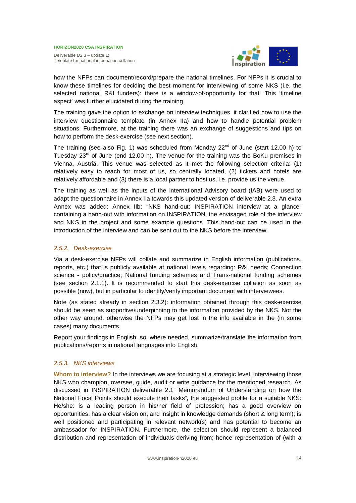

how the NFPs can document/record/prepare the national timelines. For NFPs it is crucial to know these timelines for deciding the best moment for interviewing of some NKS (i.e. the selected national R&I funders): there is a window-of-opportunity for that! This 'timeline aspect' was further elucidated during the training.

The training gave the option to exchange on interview techniques, it clarified how to use the interview questionnaire template (in Annex IIa) and how to handle potential problem situations. Furthermore, at the training there was an exchange of suggestions and tips on how to perform the desk-exercise (see next section).

The training (see also Fig. 1) was scheduled from Monday  $22^{nd}$  of June (start 12.00 h) to Tuesday 23 $^{rd}$  of June (end 12.00 h). The venue for the training was the BoKu premises in Vienna, Austria. This venue was selected as it met the following selection criteria: (1) relatively easy to reach for most of us, so centrally located, (2) tickets and hotels are relatively affordable and (3) there is a local partner to host us, i.e. provide us the venue.

The training as well as the inputs of the International Advisory board (IAB) were used to adapt the questionnaire in Annex IIa towards this updated version of deliverable 2.3. An extra Annex was added: Annex IIb: "NKS hand-out: INSPIRATION interview at a glance" containing a hand-out with information on INSPIRATION, the envisaged role of the interview and NKS in the project and some example questions. This hand-out can be used in the introduction of the interview and can be sent out to the NKS before the interview.

# *2.5.2. Desk-exercise*

Via a desk-exercise NFPs will collate and summarize in English information (publications, reports, etc.) that is publicly available at national levels regarding: R&I needs; Connection science - policy/practice; National funding schemes and Trans-national funding schemes (see section 2.1.1). It is recommended to start this desk-exercise collation as soon as possible (now), but in particular to identify/verify important document with interviewees.

Note (as stated already in section 2.3.2): information obtained through this desk-exercise should be seen as supportive/underpinning to the information provided by the NKS. Not the other way around, otherwise the NFPs may get lost in the info available in the (in some cases) many documents.

Report your findings in English, so, where needed, summarize/translate the information from publications/reports in national languages into English.

# *2.5.3. NKS interviews*

**Whom to interview?** In the interviews we are focusing at a strategic level, interviewing those NKS who champion, oversee, guide, audit or write guidance for the mentioned research. As discussed in INSPIRATION deliverable 2.1 "Memorandum of Understanding on how the National Focal Points should execute their tasks", the suggested profile for a suitable NKS: He/she: is a leading person in his/her field of profession; has a good overview on opportunities; has a clear vision on, and insight in knowledge demands (short & long term); is well positioned and participating in relevant network(s) and has potential to become an ambassador for INSPIRATION. Furthermore, the selection should represent a balanced distribution and representation of individuals deriving from; hence representation of (with a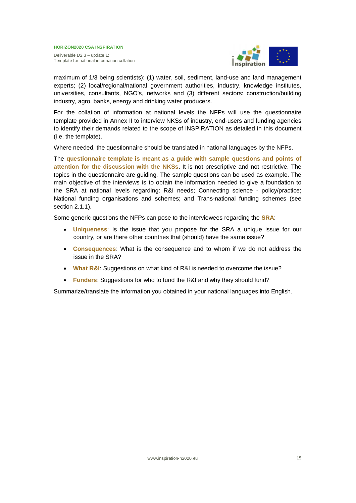Deliverable D2.3 – update 1: Template for national information collation



maximum of 1/3 being scientists): (1) water, soil, sediment, land-use and land management experts; (2) local/regional/national government authorities, industry, knowledge institutes, universities, consultants, NGO's, networks and (3) different sectors: construction/building industry, agro, banks, energy and drinking water producers.

For the collation of information at national levels the NFPs will use the questionnaire template provided in Annex II to interview NKSs of industry, end-users and funding agencies to identify their demands related to the scope of INSPIRATION as detailed in this document (i.e. the template).

Where needed, the questionnaire should be translated in national languages by the NFPs.

The **questionnaire template is meant as a guide with sample questions and points of attention for the discussion with the NKSs**. It is not prescriptive and not restrictive. The topics in the questionnaire are guiding. The sample questions can be used as example. The main objective of the interviews is to obtain the information needed to give a foundation to the SRA at national levels regarding: R&I needs; Connecting science - policy/practice; National funding organisations and schemes; and Trans-national funding schemes (see section 2.1.1).

Some generic questions the NFPs can pose to the interviewees regarding the **SRA**:

- **Uniqueness:** Is the issue that you propose for the SRA a unique issue for our country, or are there other countries that (should) have the same issue?
- **Consequences**: What is the consequence and to whom if we do not address the issue in the SRA?
- **What R&I:** Suggestions on what kind of R&I is needed to overcome the issue?
- **Eunders:** Suggestions for who to fund the R&I and why they should fund?

Summarize/translate the information you obtained in your national languages into English.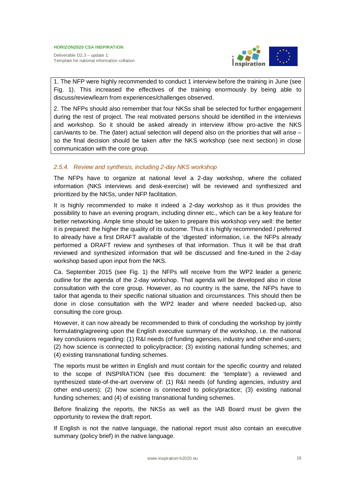Deliverable D2.3 – update 1: Template for national information collation



1. The NFP were highly recommended to conduct 1 interview before the training in June (see Fig. 1). This increased the effectives of the training enormously by being able to discuss/review/learn from experiences/challenges observed.

2. The NFPs should also remember that four NKSs shall be selected for further engagement during the rest of project. The real motivated persons should be identified in the interviews and workshop. So it should be asked already in interview if/how pro-active the NKS can/wants to be. The (later) actual selection will depend also on the priorities that will arise – so the final decision should be taken *after* the NKS workshop (see next section) in close communication with the core group.

# *2.5.4. Review and synthesis, including 2-day NKS workshop*

The NFPs have to organize at national level a 2-day workshop, where the collated information (NKS interviews and desk-exercise) will be reviewed and synthesized and prioritized by the NKSs, under NFP facilitation.

It is highly recommended to make it indeed a 2-day workshop as it thus provides the possibility to have an evening program, including dinner etc., which can be a key feature for better networking. Ample time should be taken to prepare this workshop very well: the better it is prepared: the higher the quality of its outcome. Thus it is highly recommended / preferred to already have a first DRAFT available of the 'digested' information, i.e. the NFPs already performed a DRAFT review and syntheses of that information. Thus it will be that draft reviewed and synthesized information that will be discussed and fine-tuned in the 2-day workshop based upon input from the NKS.

Ca. September 2015 (see Fig. 1) the NFPs will receive from the WP2 leader a generic outline for the agenda of the 2-day workshop. That agenda will be developed also in close consultation with the core group. However, as no country is the same, the NFPs have to tailor that agenda to their specific national situation and circumstances. This should then be done in close consultation with the WP2 leader and where needed backed-up, also consulting the core group.

However, it can now already be recommended to think of concluding the workshop by jointly formulating/agreeing upon the English executive summary of the workshop, i.e. the national key conclusions regarding: (1) R&I needs (of funding agencies, industry and other end-users; (2) how science is connected to policy/practice; (3) existing national funding schemes; and (4) existing transnational funding schemes.

The reports must be written in English and must contain for the specific country and related to the scope of INSPIRATION (see this document: the 'template') a reviewed and synthesized state-of-the-art overview of: (1) R&I needs (of funding agencies, industry and other end-users); (2) how science is connected to policy/practice; (3) existing national funding schemes; and (4) of existing transnational funding schemes.

Before finalizing the reports, the NKSs as well as the IAB Board must be given the opportunity to review the draft report.

If English is not the native language, the national report must also contain an executive summary (policy brief) in the native language.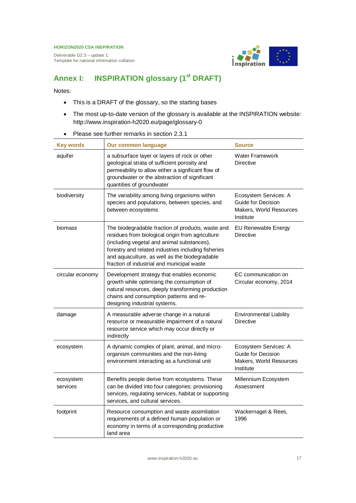Deliverable D2.3 – update 1: Template for national information collation



# **Annex I: INSPIRATION glossary (1st DRAFT)**

Notes:

- This is a DRAFT of the glossary, so the starting bases
- The most up-to-date version of the glossary is available at the INSPIRATION website: http://www.inspiration-h2020.eu/page/glossary-0
- Please see further remarks in section 2.3.1

| <b>Key words</b>      | <b>Our common language</b>                                                                                                                                                                                                                                                                                | <b>Source</b>                                                                       |
|-----------------------|-----------------------------------------------------------------------------------------------------------------------------------------------------------------------------------------------------------------------------------------------------------------------------------------------------------|-------------------------------------------------------------------------------------|
| aquifer               | a subsurface layer or layers of rock or other<br>geological strata of sufficient porosity and<br>permeability to allow either a significant flow of<br>groundwater or the abstraction of significant<br>quantities of groundwater                                                                         | <b>Water Framework</b><br><b>Directive</b>                                          |
| biodiversity          | The variability among living organisms within<br>species and populations, between species, and<br>between ecosystems                                                                                                                                                                                      | Ecosystem Services: A<br>Guide for Decision<br>Makers, World Resources<br>Institute |
| biomass               | The biodegradable fraction of products, waste and<br>residues from biological origin from agriculture<br>(including vegetal and animal substances),<br>forestry and related industries including fisheries<br>and aquaculture, as well as the biodegradable<br>fraction of industrial and municipal waste | <b>EU Renewable Energy</b><br><b>Directive</b>                                      |
| circular economy      | Development strategy that enables economic<br>growth while optimising the consumption of<br>natural resources, deeply transforming production<br>chains and consumption patterns and re-<br>designing industrial systems.                                                                                 | EC communication on<br>Circular economy, 2014                                       |
| damage                | A measurable adverse change in a natural<br>resource or measurable impairment of a natural<br>resource service which may occur directly or<br>indirectly                                                                                                                                                  | <b>Environmental Liability</b><br><b>Directive</b>                                  |
| ecosystem             | A dynamic complex of plant, animal, and micro-<br>organism communities and the non-living<br>environment interacting as a functional unit                                                                                                                                                                 | Ecosystem Services: A<br>Guide for Decision<br>Makers, World Resources<br>Institute |
| ecosystem<br>services | Benefits people derive from ecosystems. These<br>can be divided into four categories: provisioning<br>services, regulating services, habitat or supporting<br>services, and cultural services.                                                                                                            | Millennium Ecosystem<br>Assessment                                                  |
| footprint             | Resource consumption and waste assimilation<br>requirements of a defined human population or<br>economy in terms of a corresponding productive<br>land area                                                                                                                                               | Wackernagel & Rees,<br>1996                                                         |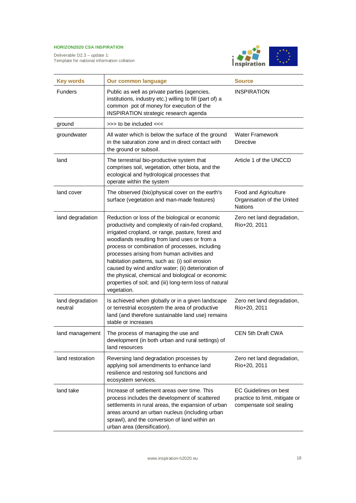

| <b>Key words</b>            | <b>Our common language</b>                                                                                                                                                                                                                                                                                                                                                                                                                                                                                                                        | <b>Source</b>                                                                             |
|-----------------------------|---------------------------------------------------------------------------------------------------------------------------------------------------------------------------------------------------------------------------------------------------------------------------------------------------------------------------------------------------------------------------------------------------------------------------------------------------------------------------------------------------------------------------------------------------|-------------------------------------------------------------------------------------------|
| <b>Funders</b>              | Public as well as private parties (agencies,<br>institutions, industry etc.) willing to fill (part of) a<br>common pot of money for execution of the<br><b>INSPIRATION strategic research agenda</b>                                                                                                                                                                                                                                                                                                                                              | <b>INSPIRATION</b>                                                                        |
| ground                      | >>> to be included <<<                                                                                                                                                                                                                                                                                                                                                                                                                                                                                                                            |                                                                                           |
| groundwater                 | All water which is below the surface of the ground<br>in the saturation zone and in direct contact with<br>the ground or subsoil.                                                                                                                                                                                                                                                                                                                                                                                                                 | <b>Water Framework</b><br><b>Directive</b>                                                |
| land                        | The terrestrial bio-productive system that<br>comprises soil, vegetation, other biota, and the<br>ecological and hydrological processes that<br>operate within the system                                                                                                                                                                                                                                                                                                                                                                         | Article 1 of the UNCCD                                                                    |
| land cover                  | The observed (bio)physical cover on the earth's<br>surface (vegetation and man-made features)                                                                                                                                                                                                                                                                                                                                                                                                                                                     | Food and Agriculture<br>Organisation of the United<br><b>Nations</b>                      |
| land degradation            | Reduction or loss of the biological or economic<br>productivity and complexity of rain-fed cropland,<br>irrigated cropland, or range, pasture, forest and<br>woodlands resulting from land uses or from a<br>process or combination of processes, including<br>processes arising from human activities and<br>habitation patterns, such as: (i) soil erosion<br>caused by wind and/or water; (ii) deterioration of<br>the physical, chemical and biological or economic<br>properties of soil; and (iii) long-term loss of natural<br>vegetation. | Zero net land degradation,<br>Rio+20, 2011                                                |
| land degradation<br>neutral | Is achieved when globally or in a given landscape<br>or terrestrial ecosystem the area of productive<br>land (and therefore sustainable land use) remains<br>stable or increases                                                                                                                                                                                                                                                                                                                                                                  | Zero net land degradation,<br>Rio+20, 2011                                                |
| land management             | The process of managing the use and<br>development (in both urban and rural settings) of<br>land resources                                                                                                                                                                                                                                                                                                                                                                                                                                        | <b>CEN 5th Draft CWA</b>                                                                  |
| land restoration            | Reversing land degradation processes by<br>applying soil amendments to enhance land<br>resilience and restoring soil functions and<br>ecosystem services.                                                                                                                                                                                                                                                                                                                                                                                         | Zero net land degradation,<br>Rio+20, 2011                                                |
| land take                   | Increase of settlement areas over time. This<br>process includes the development of scattered<br>settlements in rural areas, the expansion of urban<br>areas around an urban nucleus (including urban<br>sprawl), and the conversion of land within an<br>urban area (densification).                                                                                                                                                                                                                                                             | <b>EC Guidelines on best</b><br>practice to limit, mitigate or<br>compensate soil sealing |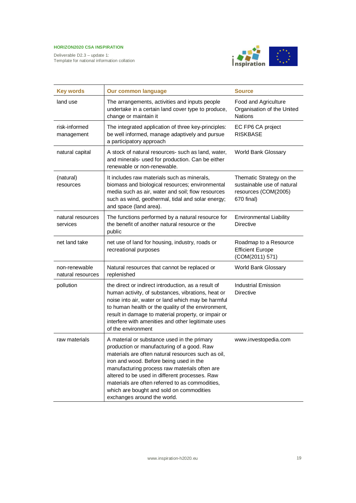

| <b>Key words</b>                   | <b>Our common language</b>                                                                                                                                                                                                                                                                                                                                                                                                  | <b>Source</b>                                                                                |
|------------------------------------|-----------------------------------------------------------------------------------------------------------------------------------------------------------------------------------------------------------------------------------------------------------------------------------------------------------------------------------------------------------------------------------------------------------------------------|----------------------------------------------------------------------------------------------|
| land use                           | The arrangements, activities and inputs people<br>undertake in a certain land cover type to produce,<br>change or maintain it                                                                                                                                                                                                                                                                                               | Food and Agriculture<br>Organisation of the United<br><b>Nations</b>                         |
| risk-informed<br>management        | The integrated application of three key-principles:<br>be well informed, manage adaptively and pursue<br>a participatory approach                                                                                                                                                                                                                                                                                           | EC FP6 CA project<br><b>RISKBASE</b>                                                         |
| natural capital                    | A stock of natural resources- such as land, water,<br>and minerals- used for production. Can be either<br>renewable or non-renewable.                                                                                                                                                                                                                                                                                       | World Bank Glossary                                                                          |
| (natural)<br>resources             | It includes raw materials such as minerals,<br>biomass and biological resources; environmental<br>media such as air, water and soil; flow resources<br>such as wind, geothermal, tidal and solar energy;<br>and space (land area).                                                                                                                                                                                          | Thematic Strategy on the<br>sustainable use of natural<br>resources (COM(2005)<br>670 final) |
| natural resources<br>services      | The functions performed by a natural resource for<br>the benefit of another natural resource or the<br>public                                                                                                                                                                                                                                                                                                               | <b>Environmental Liability</b><br><b>Directive</b>                                           |
| net land take                      | net use of land for housing, industry, roads or<br>recreational purposes                                                                                                                                                                                                                                                                                                                                                    | Roadmap to a Resource<br><b>Efficient Europe</b><br>(COM(2011) 571)                          |
| non-renewable<br>natural resources | Natural resources that cannot be replaced or<br>replenished                                                                                                                                                                                                                                                                                                                                                                 | World Bank Glossary                                                                          |
| pollution                          | the direct or indirect introduction, as a result of<br>human activity, of substances, vibrations, heat or<br>noise into air, water or land which may be harmful<br>to human health or the quality of the environment,<br>result in damage to material property, or impair or<br>interfere with amenities and other legitimate uses<br>of the environment                                                                    | <b>Industrial Emission</b><br><b>Directive</b>                                               |
| raw materials                      | A material or substance used in the primary<br>production or manufacturing of a good. Raw<br>materials are often natural resources such as oil,<br>iron and wood. Before being used in the<br>manufacturing process raw materials often are<br>altered to be used in different processes. Raw<br>materials are often referred to as commodities,<br>which are bought and sold on commodities<br>exchanges around the world. | www.investopedia.com                                                                         |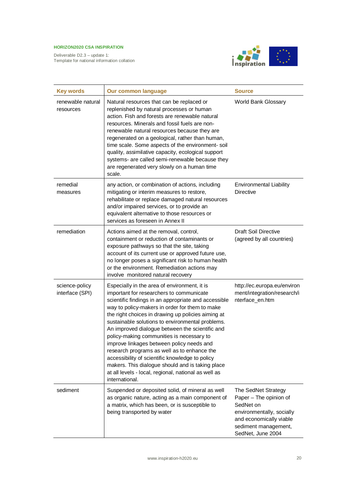

| <b>Key words</b>                  | <b>Our common language</b>                                                                                                                                                                                                                                                                                                                                                                                                                                                                                                                                                                                                                                                                | <b>Source</b>                                                                                                                                                   |
|-----------------------------------|-------------------------------------------------------------------------------------------------------------------------------------------------------------------------------------------------------------------------------------------------------------------------------------------------------------------------------------------------------------------------------------------------------------------------------------------------------------------------------------------------------------------------------------------------------------------------------------------------------------------------------------------------------------------------------------------|-----------------------------------------------------------------------------------------------------------------------------------------------------------------|
| renewable natural<br>resources    | Natural resources that can be replaced or<br>replenished by natural processes or human<br>action. Fish and forests are renewable natural<br>resources. Minerals and fossil fuels are non-<br>renewable natural resources because they are<br>regenerated on a geological, rather than human,<br>time scale. Some aspects of the environment-soil<br>quality, assimilative capacity, ecological support<br>systems- are called semi-renewable because they<br>are regenerated very slowly on a human time<br>scale.                                                                                                                                                                        | World Bank Glossary                                                                                                                                             |
| remedial<br>measures              | any action, or combination of actions, including<br>mitigating or interim measures to restore,<br>rehabilitate or replace damaged natural resources<br>and/or impaired services, or to provide an<br>equivalent alternative to those resources or<br>services as foreseen in Annex II                                                                                                                                                                                                                                                                                                                                                                                                     | <b>Environmental Liability</b><br><b>Directive</b>                                                                                                              |
| remediation                       | Actions aimed at the removal, control,<br>containment or reduction of contaminants or<br>exposure pathways so that the site, taking<br>account of its current use or approved future use,<br>no longer poses a significant risk to human health<br>or the environment. Remediation actions may<br>involve monitored natural recovery                                                                                                                                                                                                                                                                                                                                                      | <b>Draft Soil Directive</b><br>(agreed by all countries)                                                                                                        |
| science-policy<br>interface (SPI) | Especially in the area of environment, it is<br>important for researchers to communicate<br>scientific findings in an appropriate and accessible<br>way to policy-makers in order for them to make<br>the right choices in drawing up policies aiming at<br>sustainable solutions to environmental problems.<br>An improved dialogue between the scientific and<br>policy-making communities is necessary to<br>improve linkages between policy needs and<br>research programs as well as to enhance the<br>accessibility of scientific knowledge to policy<br>makers. This dialogue should and is taking place<br>at all levels - local, regional, national as well as<br>international. | http://ec.europa.eu/environ<br>ment/integration/research/i<br>nterface_en.htm                                                                                   |
| sediment                          | Suspended or deposited solid, of mineral as well<br>as organic nature, acting as a main component of<br>a matrix, which has been, or is susceptible to<br>being transported by water                                                                                                                                                                                                                                                                                                                                                                                                                                                                                                      | The SedNet Strategy<br>Paper - The opinion of<br>SedNet on<br>environmentally, socially<br>and economically viable<br>sediment management,<br>SedNet, June 2004 |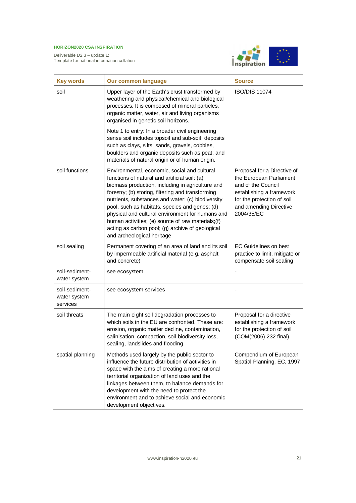

| <b>Key words</b>                           | <b>Our common language</b>                                                                                                                                                                                                                                                                                                                                                                                                                                                                                | <b>Source</b>                                                                                                                                                                  |
|--------------------------------------------|-----------------------------------------------------------------------------------------------------------------------------------------------------------------------------------------------------------------------------------------------------------------------------------------------------------------------------------------------------------------------------------------------------------------------------------------------------------------------------------------------------------|--------------------------------------------------------------------------------------------------------------------------------------------------------------------------------|
| soil                                       | Upper layer of the Earth's crust transformed by<br>weathering and physical/chemical and biological<br>processes. It is composed of mineral particles,<br>organic matter, water, air and living organisms<br>organised in genetic soil horizons.                                                                                                                                                                                                                                                           | <b>ISO/DIS 11074</b>                                                                                                                                                           |
|                                            | Note 1 to entry: In a broader civil engineering<br>sense soil includes topsoil and sub-soil; deposits<br>such as clays, silts, sands, gravels, cobbles,<br>boulders and organic deposits such as peat; and<br>materials of natural origin or of human origin.                                                                                                                                                                                                                                             |                                                                                                                                                                                |
| soil functions                             | Environmental, economic, social and cultural<br>functions of natural and artificial soil: (a)<br>biomass production, including in agriculture and<br>forestry; (b) storing, filtering and transforming<br>nutrients, substances and water; (c) biodiversity<br>pool, such as habitats, species and genes; (d)<br>physical and cultural environment for humans and<br>human activities; (e) source of raw materials; (f)<br>acting as carbon pool; (g) archive of geological<br>and archeological heritage | Proposal for a Directive of<br>the European Parliament<br>and of the Council<br>establishing a framework<br>for the protection of soil<br>and amending Directive<br>2004/35/EC |
| soil sealing                               | Permanent covering of an area of land and its soil<br>by impermeable artificial material (e.g. asphalt<br>and concrete)                                                                                                                                                                                                                                                                                                                                                                                   | <b>EC Guidelines on best</b><br>practice to limit, mitigate or<br>compensate soil sealing                                                                                      |
| soil-sediment-<br>water system             | see ecosystem                                                                                                                                                                                                                                                                                                                                                                                                                                                                                             |                                                                                                                                                                                |
| soil-sediment-<br>water system<br>services | see ecosystem services                                                                                                                                                                                                                                                                                                                                                                                                                                                                                    |                                                                                                                                                                                |
| soil threats                               | The main eight soil degradation processes to<br>which soils in the EU are confronted. These are:<br>erosion, organic matter decline, contamination,<br>salinisation, compaction, soil biodiversity loss,<br>sealing, landslides and flooding                                                                                                                                                                                                                                                              | Proposal for a directive<br>establishing a framework<br>for the protection of soil<br>(COM(2006) 232 final)                                                                    |
| spatial planning                           | Methods used largely by the public sector to<br>influence the future distribution of activities in<br>space with the aims of creating a more rational<br>territorial organization of land uses and the<br>linkages between them, to balance demands for<br>development with the need to protect the<br>environment and to achieve social and economic<br>development objectives.                                                                                                                          | Compendium of European<br>Spatial Planning, EC, 1997                                                                                                                           |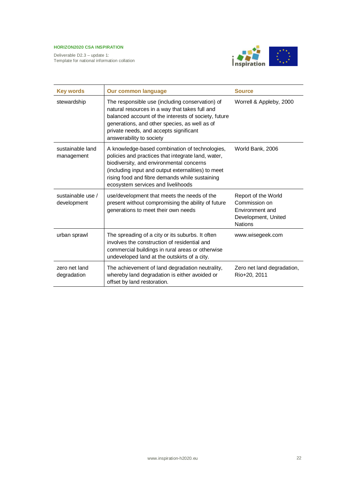![](_page_21_Picture_2.jpeg)

| <b>Key words</b>                 | <b>Our common language</b>                                                                                                                                                                                                                                                                     | <b>Source</b>                                                                                    |
|----------------------------------|------------------------------------------------------------------------------------------------------------------------------------------------------------------------------------------------------------------------------------------------------------------------------------------------|--------------------------------------------------------------------------------------------------|
| stewardship                      | The responsible use (including conservation) of<br>natural resources in a way that takes full and<br>balanced account of the interests of society, future<br>generations, and other species, as well as of<br>private needs, and accepts significant<br>answerability to society               | Worrell & Appleby, 2000                                                                          |
| sustainable land<br>management   | A knowledge-based combination of technologies,<br>policies and practices that integrate land, water,<br>biodiversity, and environmental concerns<br>(including input and output externalities) to meet<br>rising food and fibre demands while sustaining<br>ecosystem services and livelihoods | World Bank, 2006                                                                                 |
| sustainable use /<br>development | use/development that meets the needs of the<br>present without compromising the ability of future<br>generations to meet their own needs                                                                                                                                                       | Report of the World<br>Commission on<br>Environment and<br>Development, United<br><b>Nations</b> |
| urban sprawl                     | The spreading of a city or its suburbs. It often<br>involves the construction of residential and<br>commercial buildings in rural areas or otherwise<br>undeveloped land at the outskirts of a city.                                                                                           | www.wisegeek.com                                                                                 |
| zero net land<br>degradation     | The achievement of land degradation neutrality,<br>whereby land degradation is either avoided or<br>offset by land restoration.                                                                                                                                                                | Zero net land degradation,<br>Rio+20, 2011                                                       |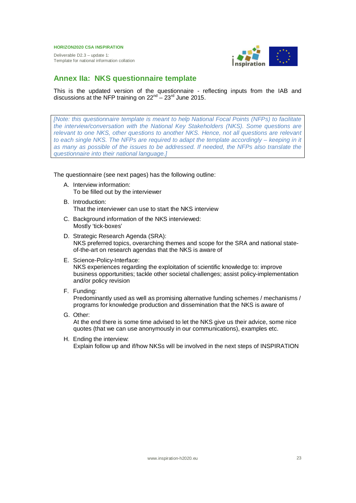Deliverable D2.3 – update 1: Template for national information collation

![](_page_22_Picture_2.jpeg)

# **Annex IIa: NKS questionnaire template**

This is the updated version of the questionnaire - reflecting inputs from the IAB and discussions at the NFP training on  $22^{nd} - 23^{rd}$  June 2015.

*[Note: this questionnaire template is meant to help National Focal Points (NFPs) to facilitate the interview/conversation with the National Key Stakeholders (NKS). Some questions are relevant to one NKS, other questions to another NKS. Hence, not all questions are relevant to each single NKS. The NFPs are required to adapt the template accordingly – keeping in it as many as possible of the issues to be addressed. If needed, the NFPs also translate the questionnaire into their national language.]*

The questionnaire (see next pages) has the following outline:

- A. Interview information: To be filled out by the interviewer
- B. Introduction: That the interviewer can use to start the NKS interview
- C. Background information of the NKS interviewed: Mostly 'tick-boxes'
- D. Strategic Research Agenda (SRA): NKS preferred topics, overarching themes and scope for the SRA and national stateof-the-art on research agendas that the NKS is aware of
- E. Science-Policy-Interface: NKS experiences regarding the exploitation of scientific knowledge to: improve business opportunities; tackle other societal challenges; assist policy-implementation and/or policy revision
- F. Funding:

Predominantly used as well as promising alternative funding schemes / mechanisms / programs for knowledge production and dissemination that the NKS is aware of

G. Other:

At the end there is some time advised to let the NKS give us their advice, some nice quotes (that we can use anonymously in our communications), examples etc.

H. Ending the interview: Explain follow up and if/how NKSs will be involved in the next steps of INSPIRATION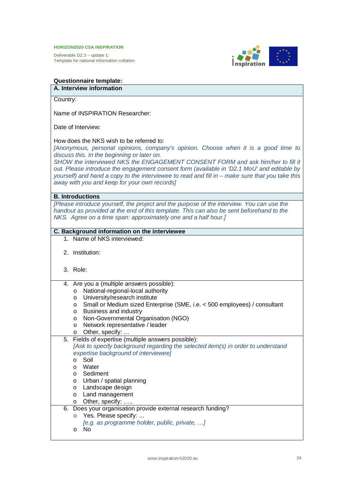Deliverable D2.3 – update 1: Template for national information collation

![](_page_23_Picture_2.jpeg)

# **Questionnaire template:**

# **A. Interview information**

Country:

Name of INSPIRATION Researcher:

Date of Interview:

# How does the NKS wish to be referred to:

*[Anonymous, personal opinions, company's opinion. Choose when it is a good time to discuss this. In the beginning or later on.*

*SHOW the interviewed NKS the ENGAGEMENT CONSENT FORM and ask him/her to fill it out. Please introduce the engagement consent form (available in 'D2.1 MoU' and editable by yourself) and hand a copy to the interviewee to read and fill in – make sure that you take this away with you and keep for your own records]*

# **B. Introductions**

*[Please introduce yourself, the project and the purpose of the interview. You can use the handout as provided at the end of this template. This can also be sent beforehand to the NKS. Agree on a time span: approximately one and a half hour.]*

# **C. Background information on the interviewee**

- 1. Name of NKS interviewed:
- 2. Institution:
- 3. Role:
- 4. Are you a (multiple answers possible):
	- o National-regional-local authority
	- o University/research institute
	- o Small or Medium sized Enterprise (SME, i.e. < 500 employees) / consultant
	- o Business and industry
	- o Non-Governmental Organisation (NGO)
	- o Network representative / leader
	- o Other, specify: …
- 5. Fields of expertise (multiple answers possible): *[Ask to specify background regarding the selected item(s) in order to understand expertise background of interviewee]* o Soil o Water o Sediment o Urban / spatial planning o Landscape design o Land management o Other, specify: ….. 6. Does your organisation provide external research funding? o Yes. Please specify: ...
	- *[e.g. as programme holder, public, private, …]*
	- o No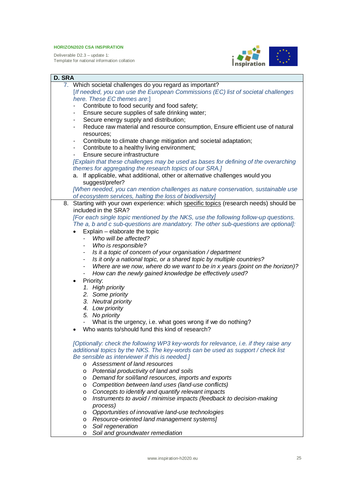![](_page_24_Picture_2.jpeg)

| D. SRA                                                                                 |  |  |  |
|----------------------------------------------------------------------------------------|--|--|--|
| 7. Which societal challenges do you regard as important?                               |  |  |  |
| [If needed, you can use the European Commissions (EC) list of societal challenges      |  |  |  |
| here. These EC themes are:]                                                            |  |  |  |
| Contribute to food security and food safety;                                           |  |  |  |
| Ensure secure supplies of safe drinking water;<br>$\overline{\phantom{a}}$             |  |  |  |
| Secure energy supply and distribution;<br>$\overline{\phantom{a}}$                     |  |  |  |
| Reduce raw material and resource consumption, Ensure efficient use of natural          |  |  |  |
| resources:                                                                             |  |  |  |
| Contribute to climate change mitigation and societal adaptation;                       |  |  |  |
| Contribute to a healthy living environment;<br>$\overline{\phantom{a}}$                |  |  |  |
| Ensure secure infrastructure                                                           |  |  |  |
| [Explain that these challenges may be used as bases for defining of the overarching    |  |  |  |
| themes for aggregating the research topics of our SRA.]                                |  |  |  |
| a. If applicable, what additional, other or alternative challenges would you           |  |  |  |
| suggest/prefer?                                                                        |  |  |  |
| [When needed, you can mention challenges as nature conservation, sustainable use       |  |  |  |
| of ecosystem services, halting the loss of biodiversity]                               |  |  |  |
| 8. Starting with your own experience: which specific topics (research needs) should be |  |  |  |
| included in the SRA?                                                                   |  |  |  |
| [For each single topic mentioned by the NKS, use the following follow-up questions.    |  |  |  |
| The a, b and c sub-questions are mandatory. The other sub-questions are optional]:     |  |  |  |
| Explain - elaborate the topic                                                          |  |  |  |
| Who will be affected?                                                                  |  |  |  |
| Who is responsible?                                                                    |  |  |  |
| Is it a topic of concern of your organisation / department                             |  |  |  |
| Is it only a national topic, or a shared topic by multiple countries?                  |  |  |  |
| Where are we now, where do we want to be in x years (point on the horizon)?            |  |  |  |
| How can the newly gained knowledge be effectively used?                                |  |  |  |
| Priority:<br>$\bullet$                                                                 |  |  |  |
| 1. High priority                                                                       |  |  |  |
| 2. Some priority                                                                       |  |  |  |
| 3. Neutral priority                                                                    |  |  |  |
| 4. Low priority                                                                        |  |  |  |
| 5. No priority                                                                         |  |  |  |
| What is the urgency, i.e. what goes wrong if we do nothing?                            |  |  |  |
| Who wants to/should fund this kind of research?                                        |  |  |  |
|                                                                                        |  |  |  |
| [Optionally: check the following WP3 key-words for relevance, i.e. if they raise any   |  |  |  |
| additional topics by the NKS. The key-words can be used as support / check list        |  |  |  |
| Be sensible as interviewer if this is needed.]                                         |  |  |  |
| Assessment of land resources<br>$\circ$                                                |  |  |  |
| Potential productivity of land and soils<br>$\circ$                                    |  |  |  |
| Demand for soil/land resources, imports and exports<br>O                               |  |  |  |
| Competition between land uses (land-use conflicts)<br>$\circ$                          |  |  |  |
| Concepts to identify and quantify relevant impacts<br>$\circ$                          |  |  |  |
| Instruments to avoid / minimise impacts (feedback to decision-making<br>$\circ$        |  |  |  |
| process)                                                                               |  |  |  |
| Opportunities of innovative land-use technologies<br>$\circ$                           |  |  |  |
| Resource-oriented land management systems]<br>$\circ$                                  |  |  |  |
| Soil regeneration<br>$\circ$                                                           |  |  |  |
| Soil and groundwater remediation<br>$\circ$                                            |  |  |  |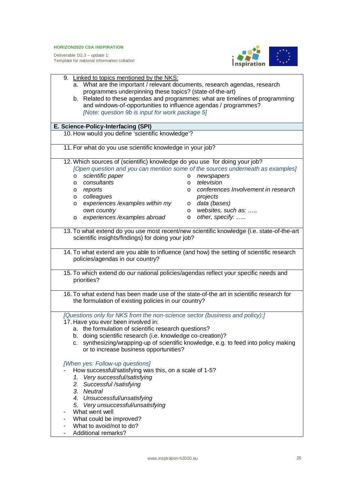![](_page_25_Picture_2.jpeg)

|                                                                                                                                                    | 9. Linked to topics mentioned by the NKS:                                               |                                                                                           |  |  |
|----------------------------------------------------------------------------------------------------------------------------------------------------|-----------------------------------------------------------------------------------------|-------------------------------------------------------------------------------------------|--|--|
|                                                                                                                                                    | a. What are the important / relevant documents, research agendas, research              |                                                                                           |  |  |
|                                                                                                                                                    | programmes underpinning these topics? (state-of-the-art)                                |                                                                                           |  |  |
|                                                                                                                                                    | b. Related to these agendas and programmes: what are timelines of programming           |                                                                                           |  |  |
|                                                                                                                                                    | and windows-of-opportunities to influence agendas / programmes?                         |                                                                                           |  |  |
|                                                                                                                                                    | [Note: question 9b is input for work package 5]                                         |                                                                                           |  |  |
|                                                                                                                                                    |                                                                                         |                                                                                           |  |  |
|                                                                                                                                                    | E. Science-Policy-Interfacing (SPI)<br>10. How would you define 'scientific knowledge'? |                                                                                           |  |  |
|                                                                                                                                                    |                                                                                         |                                                                                           |  |  |
| 11. For what do you use scientific knowledge in your job?                                                                                          |                                                                                         |                                                                                           |  |  |
|                                                                                                                                                    |                                                                                         |                                                                                           |  |  |
| 12. Which sources of (scientific) knowledge do you use for doing your job?                                                                         |                                                                                         |                                                                                           |  |  |
|                                                                                                                                                    |                                                                                         | [Open question and you can mention some of the sources underneath as examples]            |  |  |
|                                                                                                                                                    | scientific paper<br>$\circ$                                                             | newspapers<br>$\circ$                                                                     |  |  |
|                                                                                                                                                    | consultants<br>$\circ$                                                                  | television<br>O                                                                           |  |  |
|                                                                                                                                                    | reports<br>$\circ$                                                                      | conferences Involvement in research<br>$\circ$                                            |  |  |
|                                                                                                                                                    | colleagues<br>$\circ$                                                                   | projects                                                                                  |  |  |
|                                                                                                                                                    | experiences /examples within my<br>$\circ$                                              | data (bases)<br>$\circ$                                                                   |  |  |
|                                                                                                                                                    | own country                                                                             | websites, such as:<br>$\circ$                                                             |  |  |
|                                                                                                                                                    | experiences /examples abroad<br>$\circ$                                                 | o other, specify:                                                                         |  |  |
|                                                                                                                                                    |                                                                                         | 13. To what extend do you use most recent/new scientific knowledge (i.e. state-of-the-art |  |  |
|                                                                                                                                                    | scientific insights/findings) for doing your job?                                       |                                                                                           |  |  |
|                                                                                                                                                    |                                                                                         |                                                                                           |  |  |
|                                                                                                                                                    |                                                                                         | 14. To what extend are you able to influence (and how) the setting of scientific research |  |  |
|                                                                                                                                                    | policies/agendas in our country?                                                        |                                                                                           |  |  |
|                                                                                                                                                    |                                                                                         |                                                                                           |  |  |
| 15. To which extend do our national policies/agendas reflect your specific needs and                                                               |                                                                                         |                                                                                           |  |  |
| priorities?                                                                                                                                        |                                                                                         |                                                                                           |  |  |
|                                                                                                                                                    |                                                                                         |                                                                                           |  |  |
| 16. To what extend has been made use of the state-of-the art in scientific research for                                                            |                                                                                         |                                                                                           |  |  |
| the formulation of existing policies in our country?                                                                                               |                                                                                         |                                                                                           |  |  |
|                                                                                                                                                    |                                                                                         |                                                                                           |  |  |
|                                                                                                                                                    | [Questions only for NKS from the non-science sector (business and policy):]             |                                                                                           |  |  |
| 17. Have you ever been involved in:                                                                                                                |                                                                                         |                                                                                           |  |  |
| a. the formulation of scientific research questions?                                                                                               |                                                                                         |                                                                                           |  |  |
| b. doing scientific research (i.e. knowledge co-creation)?<br>c. synthesizing/wrapping-up of scientific knowledge, e.g. to feed into policy making |                                                                                         |                                                                                           |  |  |
|                                                                                                                                                    |                                                                                         |                                                                                           |  |  |
|                                                                                                                                                    | or to increase business opportunities?                                                  |                                                                                           |  |  |
| [When yes: Follow-up questions]                                                                                                                    |                                                                                         |                                                                                           |  |  |
| How successful/satisfying was this, on a scale of 1-5?                                                                                             |                                                                                         |                                                                                           |  |  |
| 1. Very successful/satisfying                                                                                                                      |                                                                                         |                                                                                           |  |  |
|                                                                                                                                                    | 2. Successful /satisfying                                                               |                                                                                           |  |  |
| 3. Neutral                                                                                                                                         |                                                                                         |                                                                                           |  |  |
| 4. Unsuccessful/unsatisfying                                                                                                                       |                                                                                         |                                                                                           |  |  |
| 5. Very unsuccessful/unsatisfying                                                                                                                  |                                                                                         |                                                                                           |  |  |
| What went well                                                                                                                                     |                                                                                         |                                                                                           |  |  |
| What could be improved?                                                                                                                            |                                                                                         |                                                                                           |  |  |
|                                                                                                                                                    | What to avoid/not to do?                                                                |                                                                                           |  |  |
| Additional remarks?                                                                                                                                |                                                                                         |                                                                                           |  |  |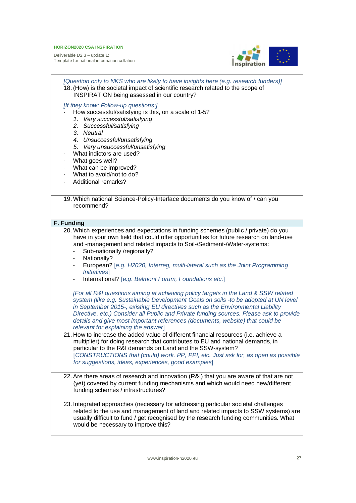![](_page_26_Picture_2.jpeg)

| [Question only to NKS who are likely to have insights here (e.g. research funders)]<br>18. (How) is the societal impact of scientific research related to the scope of<br>INSPIRATION being assessed in our country?<br>[If they know: Follow-up questions:]<br>How successful/satisfying is this, on a scale of 1-5?<br>1. Very successful/satisfying<br>2. Successful/satisfying<br>3. Neutral<br>4. Unsuccessful/unsatisfying<br>5. Very unsuccessful/unsatisfying<br>What indictors are used?<br>What goes well?<br>$\overline{\phantom{a}}$<br>What can be improved?<br>What to avoid/not to do?<br>Additional remarks?                                                                                                                                                                                                         |
|--------------------------------------------------------------------------------------------------------------------------------------------------------------------------------------------------------------------------------------------------------------------------------------------------------------------------------------------------------------------------------------------------------------------------------------------------------------------------------------------------------------------------------------------------------------------------------------------------------------------------------------------------------------------------------------------------------------------------------------------------------------------------------------------------------------------------------------|
| 19. Which national Science-Policy-Interface documents do you know of / can you                                                                                                                                                                                                                                                                                                                                                                                                                                                                                                                                                                                                                                                                                                                                                       |
| recommend?                                                                                                                                                                                                                                                                                                                                                                                                                                                                                                                                                                                                                                                                                                                                                                                                                           |
|                                                                                                                                                                                                                                                                                                                                                                                                                                                                                                                                                                                                                                                                                                                                                                                                                                      |
| F. Funding                                                                                                                                                                                                                                                                                                                                                                                                                                                                                                                                                                                                                                                                                                                                                                                                                           |
| 20. Which experiences and expectations in funding schemes (public / private) do you<br>have in your own field that could offer opportunities for future research on land-use<br>and -management and related impacts to Soil-/Sediment-/Water-systems:<br>Sub-nationally /regionally?<br>Nationally?<br>European? [e.g. H2020, Interreg, multi-lateral such as the Joint Programming<br><i><b>Initiatives</b></i><br>International? [e.g. Belmont Forum, Foundations etc.]<br>[For all R&I questions aiming at achieving policy targets in the Land & SSW related<br>system (like e.g. Sustainable Development Goals on soils -to be adopted at UN level<br>in September 2015-, existing EU directives such as the Environmental Liability<br>Directive, etc.) Consider all Public and Private funding sources. Please ask to provide |
| details and give most important references (documents, website) that could be                                                                                                                                                                                                                                                                                                                                                                                                                                                                                                                                                                                                                                                                                                                                                        |
| relevant for explaining the answer]<br>21. How to increase the added value of different financial resources (i.e. achieve a<br>multiplier) for doing research that contributes to EU and national demands, in<br>particular to the R&I demands on Land and the SSW-system?<br>[CONSTRUCTIONS that (could) work. PP, PPI, etc. Just ask for, as open as possible<br>for suggestions, ideas, experiences, good examples]                                                                                                                                                                                                                                                                                                                                                                                                               |
| 22. Are there areas of research and innovation (R&I) that you are aware of that are not<br>(yet) covered by current funding mechanisms and which would need new/different<br>funding schemes / infrastructures?                                                                                                                                                                                                                                                                                                                                                                                                                                                                                                                                                                                                                      |
| 23. Integrated approaches (necessary for addressing particular societal challenges<br>related to the use and management of land and related impacts to SSW systems) are<br>usually difficult to fund / get recognised by the research funding communities. What<br>would be necessary to improve this?                                                                                                                                                                                                                                                                                                                                                                                                                                                                                                                               |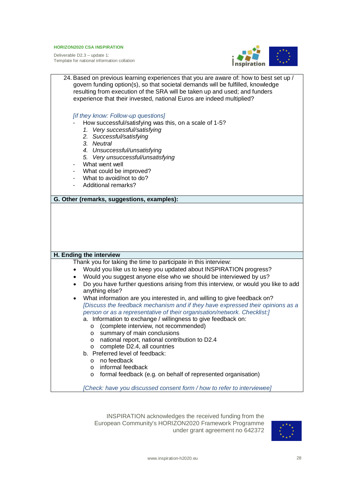Deliverable D2.3 – update 1: Template for national information collation

![](_page_27_Picture_2.jpeg)

| 24. Based on previous learning experiences that you are aware of: how to best set up /<br>govern funding option(s), so that societal demands will be fulfilled, knowledge<br>resulting from execution of the SRA will be taken up and used; and funders<br>experience that their invested, national Euros are indeed multiplied?                                                                                                                                                                                                                                                                                                                                                                                                                                                                                                                                                                                                                                                                                                       |  |  |
|----------------------------------------------------------------------------------------------------------------------------------------------------------------------------------------------------------------------------------------------------------------------------------------------------------------------------------------------------------------------------------------------------------------------------------------------------------------------------------------------------------------------------------------------------------------------------------------------------------------------------------------------------------------------------------------------------------------------------------------------------------------------------------------------------------------------------------------------------------------------------------------------------------------------------------------------------------------------------------------------------------------------------------------|--|--|
| [if they know: Follow-up questions]<br>How successful/satisfying was this, on a scale of 1-5?<br>1. Very successful/satisfying<br>2. Successful/satisfying<br>3. Neutral<br>4. Unsuccessful/unsatisfying<br>5. Very unsuccessful/unsatisfying<br>What went well<br>What could be improved?<br>What to avoid/not to do?<br>Additional remarks?                                                                                                                                                                                                                                                                                                                                                                                                                                                                                                                                                                                                                                                                                          |  |  |
| G. Other (remarks, suggestions, examples):                                                                                                                                                                                                                                                                                                                                                                                                                                                                                                                                                                                                                                                                                                                                                                                                                                                                                                                                                                                             |  |  |
|                                                                                                                                                                                                                                                                                                                                                                                                                                                                                                                                                                                                                                                                                                                                                                                                                                                                                                                                                                                                                                        |  |  |
| H. Ending the interview                                                                                                                                                                                                                                                                                                                                                                                                                                                                                                                                                                                                                                                                                                                                                                                                                                                                                                                                                                                                                |  |  |
| Thank you for taking the time to participate in this interview:<br>Would you like us to keep you updated about INSPIRATION progress?<br>Would you suggest anyone else who we should be interviewed by us?<br>$\bullet$<br>Do you have further questions arising from this interview, or would you like to add<br>$\bullet$<br>anything else?<br>What information are you interested in, and willing to give feedback on?<br>$\bullet$<br>[Discuss the feedback mechanism and if they have expressed their opinions as a<br>person or as a representative of their organisation/network. Checklist:]<br>a. Information to exchange / willingness to give feedback on:<br>(complete interview, not recommended)<br>$\circ$<br>summary of main conclusions<br>$\circ$<br>national report, national contribution to D2.4<br>O<br>complete D2.4, all countries<br>O<br>b. Preferred level of feedback:<br>no feedback<br>$\circ$<br>informal feedback<br>$\circ$<br>formal feedback (e.g. on behalf of represented organisation)<br>$\circ$ |  |  |
| [Check: have you discussed consent form / how to refer to interviewee]                                                                                                                                                                                                                                                                                                                                                                                                                                                                                                                                                                                                                                                                                                                                                                                                                                                                                                                                                                 |  |  |

INSPIRATION acknowledges the received funding from the European Community's HORIZON2020 Framework Programme under grant agreement no 642372

![](_page_27_Picture_5.jpeg)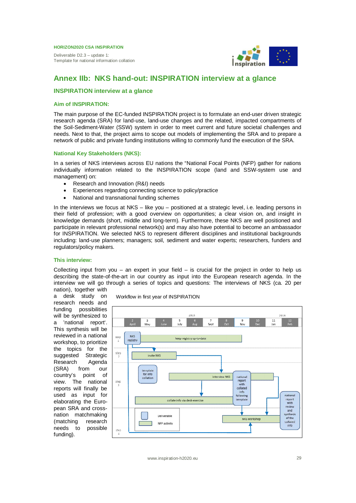Deliverable D2.3 – update 1: Template for national information collation

![](_page_28_Picture_2.jpeg)

# **Annex IIb: NKS hand-out: INSPIRATION interview at a glance**

### **INSPIRATION interview at a glance**

#### **Aim of INSPIRATION:**

The main purpose of the EC-funded INSPIRATION project is to formulate an end-user driven strategic research agenda (SRA) for land-use, land-use changes and the related, impacted compartments of the Soil-Sediment-Water (SSW) system in order to meet current and future societal challenges and needs. Next to that, the project aims to scope out models of implementing the SRA and to prepare a network of public and private funding institutions willing to commonly fund the execution of the SRA.

#### **National Key Stakeholders (NKS):**

In a series of NKS interviews across EU nations the "National Focal Points (NFP) gather for nations individually information related to the INSPIRATION scope (land and SSW-system use and management) on:

- Research and Innovation (R&I) needs
- Experiences regarding connecting science to policy/practice
- National and transnational funding schemes

In the interviews we focus at NKS – like you – positioned at a strategic level, i.e. leading persons in their field of profession; with a good overview on opportunities; a clear vision on, and insight in knowledge demands (short, middle and long-term). Furthermore, these NKS are well positioned and participate in relevant professional network(s) and may also have potential to become an ambassador for INSPIRATION. We selected NKS to represent different disciplines and institutional backgrounds including: land-use planners; managers; soil, sediment and water experts; researchers, funders and regulators/policy makers.

# **This interview:**

Collecting input from you – an expert in your field – is crucial for the project in order to help us describing the state-of-the-art in our country as input into the European research agenda. In the interview we will go through a series of topics and questions: The interviews of NKS (ca. 20 per nation), together with

a desk study on research needs and funding possibilities will be synthesized to a 'national report'. This synthesis will be reviewed in a national workshop, to prioritize the topics for the suggested Strategic Research Agenda (SRA) from our country's point of view. The national reports will finally be used as input for elaborating the European SRA and crossnation matchmaking (matching research needs to possible funding).

Workflow in first year of INSPIRATION

![](_page_28_Figure_17.jpeg)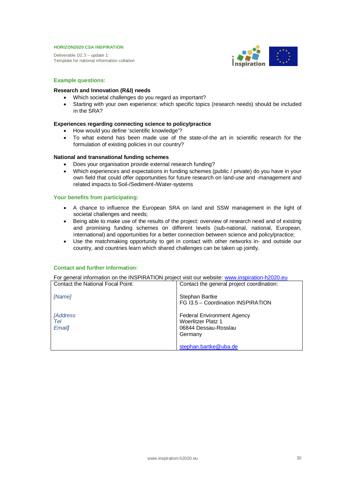Deliverable D2.3 – update 1: Template for national information collation

![](_page_29_Picture_2.jpeg)

# **Example questions:**

#### **Research and Innovation (R&I) needs**

- Which societal challenges do you regard as important?
- Starting with your own experience: which specific topics (research needs) should be included in the SRA?

# **Experiences regarding connecting science to policy/practice**

- How would you define 'scientific knowledge'?
- To what extend has been made use of the state-of-the art in scientific research for the formulation of existing policies in our country?

#### **National and transnational funding schemes**

- Does your organisation provide external research funding?
- Which experiences and expectations in funding schemes (public / private) do you have in your own field that could offer opportunities for future research on land-use and -management and related impacts to Soil-/Sediment-/Water-systems

# **Your benefits from participating:**

- A chance to influence the European SRA on land and SSW management in the light of societal challenges and needs;
- Being able to make use of the results of the project: overview of research need and of existing and promising funding schemes on different levels (sub-national, national, European, international) and opportunities for a better connection between science and policy/practice;
- Use the matchmaking opportunity to get in contact with other networks in- and outside our country, and countries learn which shared challenges can be taken up jointly.

#### **Contact and further information:**

For general information on the INSPIRATION project visit our website: www.inspiration-h2020.eu

| Contact the general project coordination:                                                                       |
|-----------------------------------------------------------------------------------------------------------------|
| FG I3.5 - Coordination INSPIRATION                                                                              |
| <b>Federal Environment Agency</b><br><b>Woerlitzer Platz 1</b><br>06844 Dessau-Rosslau<br>stephan.bartke@uba.de |
|                                                                                                                 |